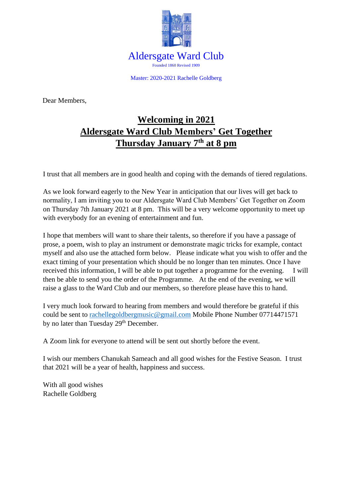

Master: 2020-2021 Rachelle Goldberg

Dear Members,

## **Welcoming in 2021 Aldersgate Ward Club Members' Get Together Thursday January 7 th at 8 pm**

I trust that all members are in good health and coping with the demands of tiered regulations.

As we look forward eagerly to the New Year in anticipation that our lives will get back to normality, I am inviting you to our Aldersgate Ward Club Members' Get Together on Zoom on Thursday 7th January 2021 at 8 pm. This will be a very welcome opportunity to meet up with everybody for an evening of entertainment and fun.

I hope that members will want to share their talents, so therefore if you have a passage of prose, a poem, wish to play an instrument or demonstrate magic tricks for example, contact myself and also use the attached form below. Please indicate what you wish to offer and the exact timing of your presentation which should be no longer than ten minutes. Once I have received this information, I will be able to put together a programme for the evening. I will then be able to send you the order of the Programme. At the end of the evening, we will raise a glass to the Ward Club and our members, so therefore please have this to hand.

I very much look forward to hearing from members and would therefore be grateful if this could be sent to [rachellegoldbergmusic@gmail.com](mailto:rachellegoldbergmusic@gmail.com) Mobile Phone Number 07714471571 by no later than Tuesday 29<sup>th</sup> December.

A Zoom link for everyone to attend will be sent out shortly before the event.

I wish our members Chanukah Sameach and all good wishes for the Festive Season. I trust that 2021 will be a year of health, happiness and success.

With all good wishes Rachelle Goldberg